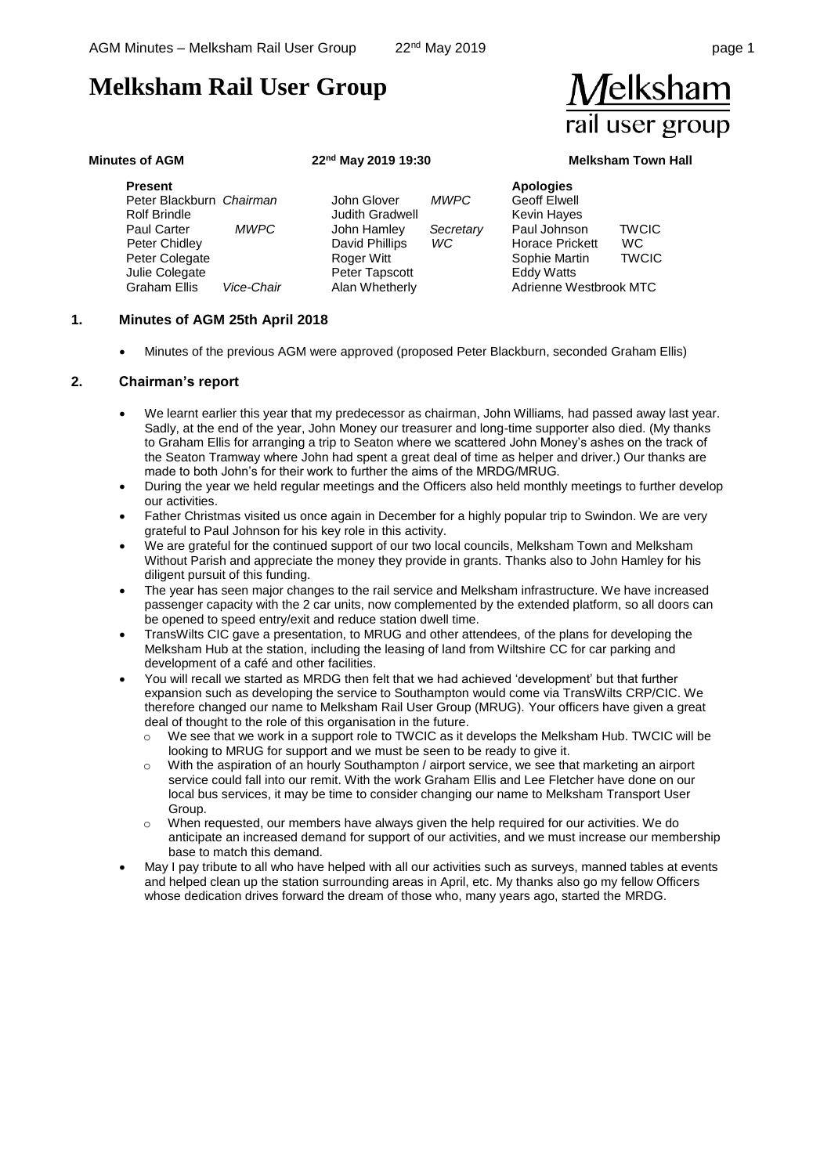# **Melksham Rail User Group**

#### **Minutes of AGM 22nd May 2019 19:30 Melksham Town Hall**

 $\sqrt{}$ elksham

rail user group

**Present**  Peter Blackburn *Chairman*  Rolf Brindle Paul Carter *MWPC* Peter Chidley Peter Colegate Julie Colegate Graham Ellis *Vice-Chair*

John Glover *MWPC* Judith Gradwell John Hamley *Secretary* David Phillips *WC* Roger Witt Peter Tapscott Alan Whetherly

**Apologies** Geoff Elwell Kevin Hayes Paul Johnson TWCIC Horace Prickett WC Sophie Martin TWCIC Eddy Watts Adrienne Westbrook MTC

#### **1. Minutes of AGM 25th April 2018**

• Minutes of the previous AGM were approved (proposed Peter Blackburn, seconded Graham Ellis)

#### **2. Chairman's report**

- We learnt earlier this year that my predecessor as chairman, John Williams, had passed away last year. Sadly, at the end of the year, John Money our treasurer and long-time supporter also died. (My thanks to Graham Ellis for arranging a trip to Seaton where we scattered John Money's ashes on the track of the Seaton Tramway where John had spent a great deal of time as helper and driver.) Our thanks are made to both John's for their work to further the aims of the MRDG/MRUG.
- During the year we held regular meetings and the Officers also held monthly meetings to further develop our activities.
- Father Christmas visited us once again in December for a highly popular trip to Swindon. We are very grateful to Paul Johnson for his key role in this activity.
- We are grateful for the continued support of our two local councils, Melksham Town and Melksham Without Parish and appreciate the money they provide in grants. Thanks also to John Hamley for his diligent pursuit of this funding.
- The year has seen major changes to the rail service and Melksham infrastructure. We have increased passenger capacity with the 2 car units, now complemented by the extended platform, so all doors can be opened to speed entry/exit and reduce station dwell time.
- TransWilts CIC gave a presentation, to MRUG and other attendees, of the plans for developing the Melksham Hub at the station, including the leasing of land from Wiltshire CC for car parking and development of a café and other facilities.
- You will recall we started as MRDG then felt that we had achieved 'development' but that further expansion such as developing the service to Southampton would come via TransWilts CRP/CIC. We therefore changed our name to Melksham Rail User Group (MRUG). Your officers have given a great deal of thought to the role of this organisation in the future.
	- o We see that we work in a support role to TWCIC as it develops the Melksham Hub. TWCIC will be looking to MRUG for support and we must be seen to be ready to give it.
	- o With the aspiration of an hourly Southampton / airport service, we see that marketing an airport service could fall into our remit. With the work Graham Ellis and Lee Fletcher have done on our local bus services, it may be time to consider changing our name to Melksham Transport User Group.
	- o When requested, our members have always given the help required for our activities. We do anticipate an increased demand for support of our activities, and we must increase our membership base to match this demand.
- May I pay tribute to all who have helped with all our activities such as surveys, manned tables at events and helped clean up the station surrounding areas in April, etc. My thanks also go my fellow Officers whose dedication drives forward the dream of those who, many years ago, started the MRDG.